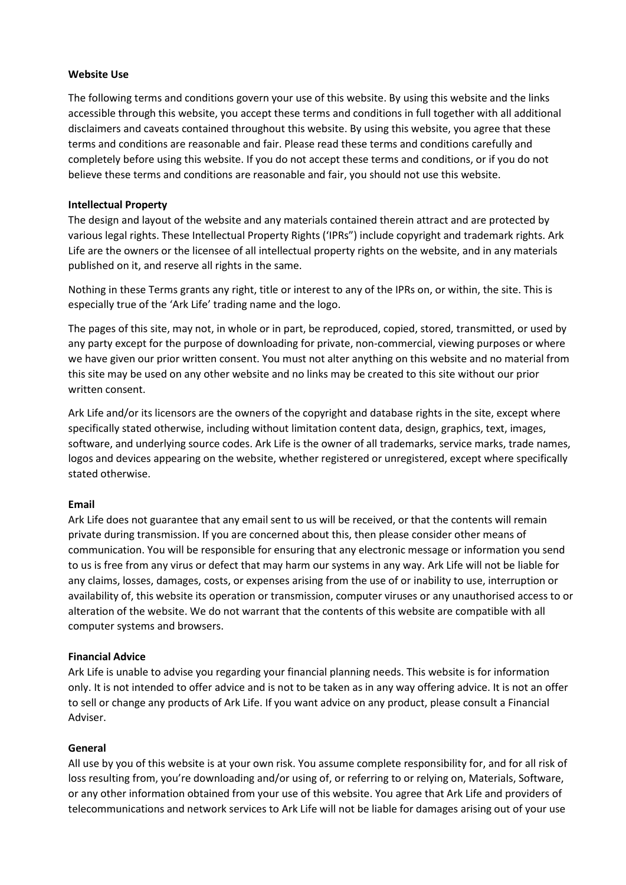### **Website Use**

The following terms and conditions govern your use of this website. By using this website and the links accessible through this website, you accept these terms and conditions in full together with all additional disclaimers and caveats contained throughout this website. By using this website, you agree that these terms and conditions are reasonable and fair. Please read these terms and conditions carefully and completely before using this website. If you do not accept these terms and conditions, or if you do not believe these terms and conditions are reasonable and fair, you should not use this website.

### **Intellectual Property**

The design and layout of the website and any materials contained therein attract and are protected by various legal rights. These Intellectual Property Rights ('IPRs") include copyright and trademark rights. Ark Life are the owners or the licensee of all intellectual property rights on the website, and in any materials published on it, and reserve all rights in the same.

Nothing in these Terms grants any right, title or interest to any of the IPRs on, or within, the site. This is especially true of the 'Ark Life' trading name and the logo.

The pages of this site, may not, in whole or in part, be reproduced, copied, stored, transmitted, or used by any party except for the purpose of downloading for private, non-commercial, viewing purposes or where we have given our prior written consent. You must not alter anything on this website and no material from this site may be used on any other website and no links may be created to this site without our prior written consent.

Ark Life and/or its licensors are the owners of the copyright and database rights in the site, except where specifically stated otherwise, including without limitation content data, design, graphics, text, images, software, and underlying source codes. Ark Life is the owner of all trademarks, service marks, trade names, logos and devices appearing on the website, whether registered or unregistered, except where specifically stated otherwise.

### **Email**

Ark Life does not guarantee that any email sent to us will be received, or that the contents will remain private during transmission. If you are concerned about this, then please consider other means of communication. You will be responsible for ensuring that any electronic message or information you send to us is free from any virus or defect that may harm our systems in any way. Ark Life will not be liable for any claims, losses, damages, costs, or expenses arising from the use of or inability to use, interruption or availability of, this website its operation or transmission, computer viruses or any unauthorised access to or alteration of the website. We do not warrant that the contents of this website are compatible with all computer systems and browsers.

### **Financial Advice**

Ark Life is unable to advise you regarding your financial planning needs. This website is for information only. It is not intended to offer advice and is not to be taken as in any way offering advice. It is not an offer to sell or change any products of Ark Life. If you want advice on any product, please consult a Financial Adviser.

### **General**

All use by you of this website is at your own risk. You assume complete responsibility for, and for all risk of loss resulting from, you're downloading and/or using of, or referring to or relying on, Materials, Software, or any other information obtained from your use of this website. You agree that Ark Life and providers of telecommunications and network services to Ark Life will not be liable for damages arising out of your use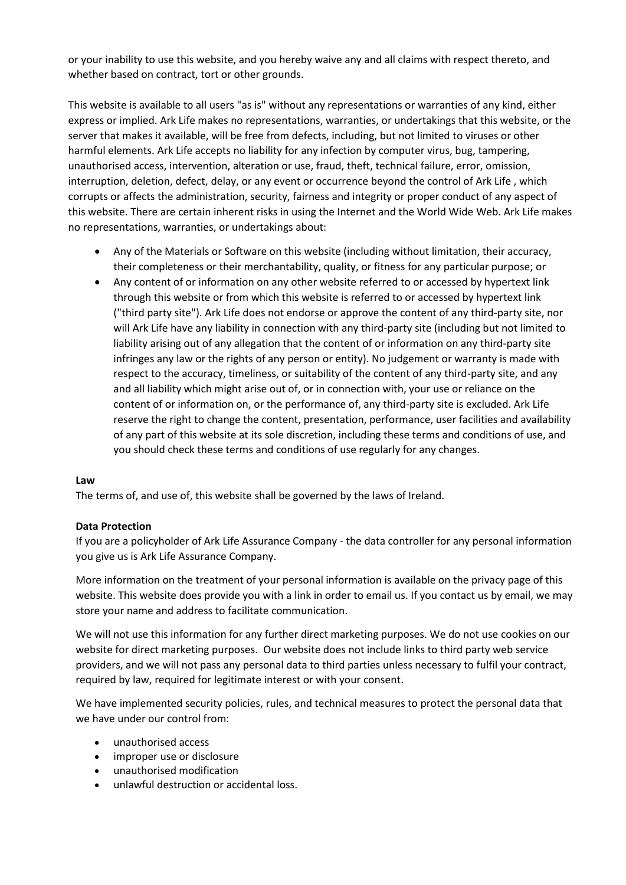or your inability to use this website, and you hereby waive any and all claims with respect thereto, and whether based on contract, tort or other grounds.

This website is available to all users "as is" without any representations or warranties of any kind, either express or implied. Ark Life makes no representations, warranties, or undertakings that this website, or the server that makes it available, will be free from defects, including, but not limited to viruses or other harmful elements. Ark Life accepts no liability for any infection by computer virus, bug, tampering, unauthorised access, intervention, alteration or use, fraud, theft, technical failure, error, omission, interruption, deletion, defect, delay, or any event or occurrence beyond the control of Ark Life , which corrupts or affects the administration, security, fairness and integrity or proper conduct of any aspect of this website. There are certain inherent risks in using the Internet and the World Wide Web. Ark Life makes no representations, warranties, or undertakings about:

- Any of the Materials or Software on this website (including without limitation, their accuracy, their completeness or their merchantability, quality, or fitness for any particular purpose; or
- Any content of or information on any other website referred to or accessed by hypertext link through this website or from which this website is referred to or accessed by hypertext link ("third party site"). Ark Life does not endorse or approve the content of any third-party site, nor will Ark Life have any liability in connection with any third-party site (including but not limited to liability arising out of any allegation that the content of or information on any third-party site infringes any law or the rights of any person or entity). No judgement or warranty is made with respect to the accuracy, timeliness, or suitability of the content of any third-party site, and any and all liability which might arise out of, or in connection with, your use or reliance on the content of or information on, or the performance of, any third-party site is excluded. Ark Life reserve the right to change the content, presentation, performance, user facilities and availability of any part of this website at its sole discretion, including these terms and conditions of use, and you should check these terms and conditions of use regularly for any changes.

### **Law**

The terms of, and use of, this website shall be governed by the laws of Ireland.

# **Data Protection**

If you are a policyholder of Ark Life Assurance Company - the data controller for any personal information you give us is Ark Life Assurance Company.

More information on the treatment of your personal information is available on the privacy page of this website. This website does provide you with a link in order to email us. If you contact us by email, we may store your name and address to facilitate communication.

We will not use this information for any further direct marketing purposes. We do not use cookies on our website for direct marketing purposes. Our website does not include links to third party web service providers, and we will not pass any personal data to third parties unless necessary to fulfil your contract, required by law, required for legitimate interest or with your consent.

We have implemented security policies, rules, and technical measures to protect the personal data that we have under our control from:

- unauthorised access
- improper use or disclosure
- unauthorised modification
- unlawful destruction or accidental loss.